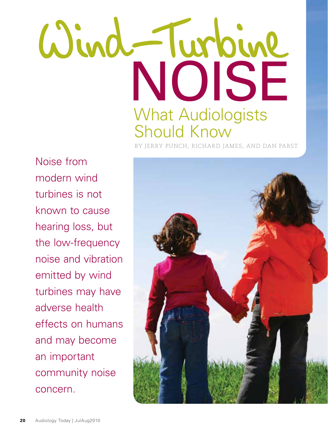# Wind-Turbine What Audiologists Should Know

By Jerry Punch, Richard James, and Dan Pabst

Noise from modern wind turbines is not known to cause hearing loss, but the low-frequency noise and vibration emitted by wind turbines may have adverse health effects on humans and may become an important community noise concern.

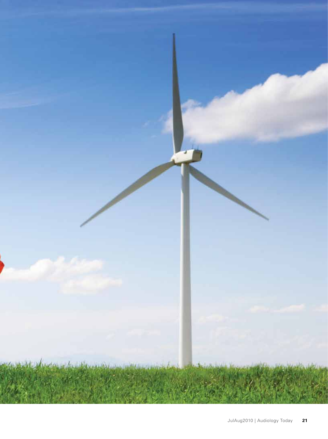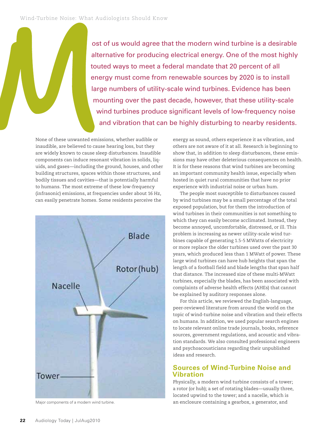ost of us would agree that the modern wind turbine is a desirable alternative for producing electrical energy. One of the most highly touted ways to meet a federal mandate that 20 percent of all energy must come from renewable sources by 2020 is to install large numbers of utility-scale wind turbines. Evidence has been mounting over the past decade, however, that these utility-scale wind turbines produce significant levels of low-frequency noise and vibration that can be highly disturbing to nearby residents.

None of these unwanted emissions, whether audible or inaudible, are believed to cause hearing loss, but they are widely known to cause sleep disturbances. Inaudible components can induce resonant vibration in solids, liquids, and gases—including the ground, houses, and other building structures, spaces within those structures, and bodily tissues and cavities—that is potentially harmful to humans. The most extreme of these low-frequency (infrasonic) emissions, at frequencies under about 16 Hz, can easily penetrate homes. Some residents perceive the



energy as sound, others experience it as vibration, and others are not aware of it at all. Research is beginning to show that, in addition to sleep disturbances, these emissions may have other deleterious consequences on health. It is for these reasons that wind turbines are becoming an important community health issue, especially when hosted in quiet rural communities that have no prior experience with industrial noise or urban hum.

The people most susceptible to disturbances caused by wind turbines may be a small percentage of the total exposed population, but for them the introduction of wind turbines in their communities is not something to which they can easily become acclimated. Instead, they become annoyed, uncomfortable, distressed, or ill. This problem is increasing as newer utility-scale wind turbines capable of generating 1.5-5 MWatts of electricity or more replace the older turbines used over the past 30 years, which produced less than 1 MWatt of power. These large wind turbines can have hub heights that span the length of a football field and blade lengths that span half that distance. The increased size of these multi-MWatt turbines, especially the blades, has been associated with complaints of adverse health effects (AHEs) that cannot be explained by auditory responses alone.

For this article, we reviewed the English-language, peer-reviewed literature from around the world on the topic of wind-turbine noise and vibration and their effects on humans. In addition, we used popular search engines to locate relevant online trade journals, books, reference sources, government regulations, and acoustic and vibration standards. We also consulted professional engineers and psychoacousticians regarding their unpublished ideas and research.

#### **Sources of Wind-Turbine Noise and Vibration**

Physically, a modern wind turbine consists of a tower; a rotor (or hub); a set of rotating blades—usually three, located upwind to the tower; and a nacelle, which is Major components of a modern wind turbine.  $\Box$  an enclosure containing a gearbox, a generator, and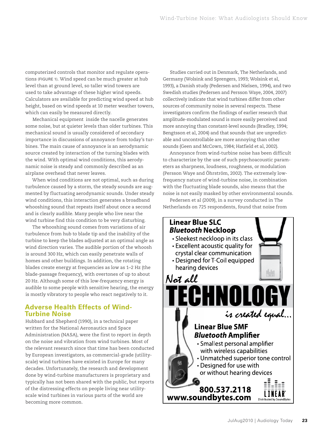computerized controls that monitor and regulate operations (FIGURE 1). Wind speed can be much greater at hub level than at ground level, so taller wind towers are used to take advantage of these higher wind speeds. Calculators are available for predicting wind speed at hub height, based on wind speeds at 10 meter weather towers, which can easily be measured directly.

Mechanical equipment inside the nacelle generates some noise, but at quieter levels than older turbines. This mechanical sound is usually considered of secondary importance in discussions of annoyance from today's turbines. The main cause of annoyance is an aerodynamic source created by interaction of the turning blades with the wind. With optimal wind conditions, this aerodynamic noise is steady and commonly described as an airplane overhead that never leaves.

When wind conditions are not optimal, such as during turbulence caused by a storm, the steady sounds are augmented by fluctuating aerodynamic sounds. Under steady wind conditions, this interaction generates a broadband whooshing sound that repeats itself about once a second and is clearly audible. Many people who live near the wind turbine find this condition to be very disturbing.

The whooshing sound comes from variations of air turbulence from hub to blade tip and the inability of the turbine to keep the blades adjusted at an optimal angle as wind direction varies. The audible portion of the whoosh is around 300 Hz, which can easily penetrate walls of homes and other buildings. In addition, the rotating blades create energy at frequencies as low as 1–2 Hz (the blade-passage frequency), with overtones of up to about 20 Hz. Although some of this low-frequency energy is audible to some people with sensitive hearing, the energy is mostly vibratory to people who react negatively to it.

#### **Adverse Health Effects of Wind-Turbine Noise**

Hubbard and Shepherd (1990), in a technical paper written for the National Aeronautics and Space Administration (NASA), were the first to report in depth on the noise and vibration from wind turbines. Most of the relevant research since that time has been conducted by European investigators, as commercial-grade (utilityscale) wind turbines have existed in Europe for many decades. Unfortunately, the research and development done by wind-turbine manufacturers is proprietary and typically has not been shared with the public, but reports of the distressing effects on people living near utilityscale wind turbines in various parts of the world are becoming more common.

Studies carried out in Denmark, The Netherlands, and Germany (Wolsink and Sprengers, 1993; Wolsink et al, 1993), a Danish study (Pedersen and Nielsen, 1994), and two Swedish studies (Pedersen and Persson Waye, 2004, 2007) collectively indicate that wind turbines differ from other sources of community noise in several respects. These investigators confirm the findings of earlier research that amplitude-modulated sound is more easily perceived and more annoying than constant-level sounds (Bradley, 1994; Bengtsson et al, 2004) and that sounds that are unpredictable and uncontrollable are more annoying than other sounds (Geen and McCown, 1984; Hatfield et al, 2002).

Annoyance from wind-turbine noise has been difficult to characterize by the use of such psychoacoustic parameters as sharpness, loudness, roughness, or modulation (Persson Waye and Öhrström, 2002). The extremely lowfrequency nature of wind-turbine noise, in combination with the fluctuating blade sounds, also means that the noise is not easily masked by other environmental sounds.

Pedersen et al (2009), in a survey conducted in The Netherlands on 725 respondents, found that noise from

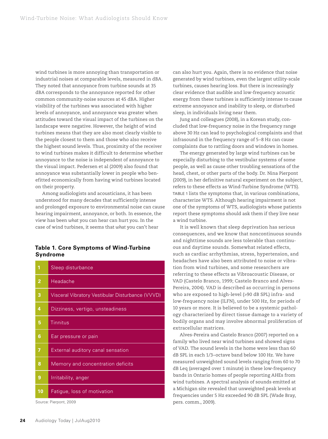wind turbines is more annoying than transportation or industrial noises at comparable levels, measured in dBA. They noted that annoyance from turbine sounds at 35 dBA corresponds to the annoyance reported for other common community-noise sources at 45 dBA. Higher visibility of the turbines was associated with higher levels of annoyance, and annoyance was greater when attitudes toward the visual impact of the turbines on the landscape were negative. However, the height of wind turbines means that they are also most clearly visible to the people closest to them and those who also receive the highest sound levels. Thus, proximity of the receiver to wind turbines makes it difficult to determine whether annoyance to the noise is independent of annoyance to the visual impact. Pedersen et al (2009) also found that annoyance was substantially lower in people who benefitted economically from having wind turbines located on their property.

Among audiologists and acousticians, it has been understood for many decades that sufficiently intense and prolonged exposure to environmental noise can cause hearing impairment, annoyance, or both. In essence, the view has been *what* you can hear can hurt you. In the case of wind turbines, it seems that *what* you can't hear

#### **Table 1. Core Symptoms of Wind-Turbine Syndrome**

| 1                      | Sleep disturbance                                |  |
|------------------------|--------------------------------------------------|--|
| $\overline{2}$         | Headache                                         |  |
| 3                      | Visceral Vibratory Vestibular Disturbance (VVVD) |  |
| 4                      | Dizziness, vertigo, unsteadiness                 |  |
| 5                      | Tinnitus                                         |  |
| 6                      | Ear pressure or pain                             |  |
| 7                      | External auditory canal sensation                |  |
| 8                      | Memory and concentration deficits                |  |
| 9                      | Irritability, anger                              |  |
| 10                     | Fatigue, loss of motivation                      |  |
| Source: Pierpont, 2009 |                                                  |  |

can also hurt you. Again, there is no evidence that noise generated by wind turbines, even the largest utility-scale turbines, causes hearing loss. But there is increasingly clear evidence that audible and low-frequency acoustic energy from these turbines is sufficiently intense to cause extreme annoyance and inability to sleep, or disturbed sleep, in individuals living near them.

Jung and colleagues (2008), in a Korean study, concluded that low-frequency noise in the frequency range above 30 Hz can lead to psychological complaints and that infrasound in the frequency range of 5–8 Hz can cause complaints due to rattling doors and windows in homes.

The energy generated by large wind turbines can be especially disturbing to the vestibular systems of some people, as well as cause other troubling sensations of the head, chest, or other parts of the body. Dr. Nina Pierpont (2009), in her definitive natural experiment on the subject, refers to these effects as Wind-Turbine Syndrome (WTS). Table 1 lists the symptoms that, in various combinations, characterize WTS. Although hearing impairment is not one of the symptoms of WTS, audiologists whose patients report these symptoms should ask them if they live near a wind turbine.

It is well known that sleep deprivation has serious consequences, and we know that noncontinuous sounds and nighttime sounds are less tolerable than continuous and daytime sounds. Somewhat related effects, such as cardiac arrhythmias, stress, hypertension, and headaches have also been attributed to noise or vibration from wind turbines, and some researchers are referring to these effects as Vibroacoustic Disease, or VAD (Castelo Branco, 1999; Castelo Branco and Alves-Pereira, 2004). VAD is described as occurring in persons who are exposed to high-level (>90 dB SPL) infra- and low-frequency noise (ILFN), under 500 Hz, for periods of 10 years or more. It is believed to be a systemic pathology characterized by direct tissue damage to a variety of bodily organs and may involve abnormal proliferation of extracellular matrices.

Alves-Pereira and Castelo Branco (2007) reported on a family who lived near wind turbines and showed signs of VAD. The sound levels in the home were less than 60 dB SPL in each 1/3–octave band below 100 Hz. We have measured unweighted sound levels ranging from 60 to 70 dB Leq (averaged over 1 minute) in these low-frequency bands in Ontario homes of people reporting AHEs from wind turbines. A spectral analysis of sounds emitted at a Michigan site revealed that unweighted peak levels at frequencies under 5 Hz exceeded 90 dB SPL (Wade Bray, pers. comm., 2009).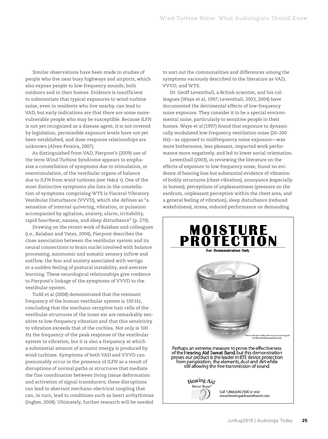Similar observations have been made in studies of people who live near busy highways and airports, which also expose people to low-frequency sounds, both outdoors and in their homes. Evidence is insufficient to substantiate that typical exposures to wind-turbine noise, even in residents who live nearby, can lead to VAD, but early indications are that there are some morevulnerable people who may be susceptible. Because ILFN is not yet recognized as a disease agent, it is not covered by legislation, permissible exposure levels have not yet been established, and dose-response relationships are unknown (Alves-Pereira, 2007).

As distinguished from VAD, Pierpont's (2009) use of the term Wind-Turbine Syndrome appears to emphasize a constellation of symptoms due to stimulation, or overstimulation, of the vestibular organs of balance due to ILFN from wind turbines (see Table 1). One of the most distinctive symptoms she lists in the constellation of symptoms comprising WTS is Visceral Vibratory Vestibular Disturbance (VVVD), which she defines as "a sensation of internal quivering, vibration, or pulsation accompanied by agitation, anxiety, alarm, irritability, rapid heartbeat, nausea, and sleep disturbance" (p. 270).

Drawing on the recent work of Balaban and colleagues (i.e., Balaban and Yates, 2004), Pierpont describes the close association between the vestibular system and its neural connections to brain nuclei involved with balance processing, autonomic and somatic sensory inflow and outflow, the fear and anxiety associated with vertigo or a sudden feeling of postural instability, and aversive learning. These neurological relationships give credence to Pierpont's linkage of the symptoms of VVVD to the vestibular system.

Todd et al (2008) demonstrated that the resonant frequency of the human vestibular system is 100 Hz, concluding that the mechano-receptive hair cells of the vestibular structures of the inner ear are remarkably sensitive to low-frequency vibration and that this sensitivity to vibration exceeds that of the cochlea. Not only is 100 Hz the frequency of the peak response of the vestibular system to vibration, but it is also a frequency at which a substantial amount of acoustic energy is produced by wind turbines. Symptoms of both VAD and VVVD can presumably occur in the presence of ILFN as a result of disruptions of normal paths or structures that mediate the fine coordination between living tissue deformation and activation of signal transducers; these disruptions can lead to aberrant mechano-electrical coupling that can, in turn, lead to conditions such as heart arrhythmias (Ingber, 2008). Ultimately, further research will be needed

to sort out the commonalities and differences among the symptoms variously described in the literature as VAD, VVVD, and WTS.

Dr. Geoff Leventhall, a British scientist, and his colleagues (Waye et al, 1997; Leventhall, 2003, 2004) have documented the detrimental effects of low-frequency noise exposure. They consider it to be a special environmental noise, particularly to sensitive people in their homes. Waye et al (1997) found that exposure to dynamically modulated low-frequency ventilation noise (20–200 Hz)—as opposed to midfrequency noise exposure—was more bothersome, less pleasant, impacted work performance more negatively, and led to lower social orientation.

Leventhall (2003), in reviewing the literature on the effects of exposure to low-frequency noise, found no evidence of hearing loss but substantial evidence of vibration of bodily structures (chest vibration), annoyance (especially in homes), perceptions of unpleasantness (pressure on the eardrum, unpleasant perception within the chest area, and a general feeling of vibration), sleep disturbance (reduced wakefulness), stress, reduced performance on demanding

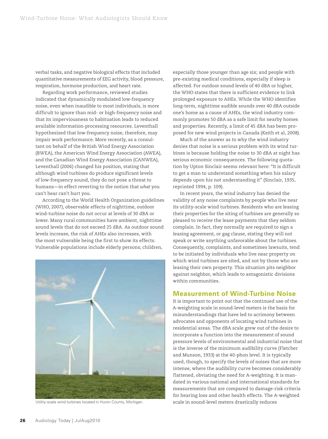verbal tasks, and negative biological effects that included quantitative measurements of EEG activity, blood pressure, respiration, hormone production, and heart rate.

Regarding work performance, reviewed studies indicated that dynamically modulated low-frequency noise, even when inaudible to most individuals, is more difficult to ignore than mid- or high-frequency noise and that its imperviousness to habituation leads to reduced available information-processing resources. Leventhall hypothesized that low-frequency noise, therefore, may impair work performance. More recently, as a consultant on behalf of the British Wind Energy Association (BWEA), the American Wind Energy Association (AWEA), and the Canadian Wind Energy Association (CANWEA), Leventhall (2006) changed his position, stating that although wind turbines do produce significant levels of low-frequency sound, they do not pose a threat to humans—in effect reverting to the notion that *what* you can't hear can't hurt you.

According to the World Health Organization guidelines (WHO, 2007), observable effects of nighttime, outdoor wind-turbine noise do not occur at levels of 30 dBA or lower. Many rural communities have ambient, nighttime sound levels that do not exceed 25 dBA. As outdoor sound levels increase, the risk of AHEs also increases, with the most vulnerable being the first to show its effects. Vulnerable populations include elderly persons; children,



especially those younger than age six; and people with pre-existing medical conditions, especially if sleep is affected. For outdoor sound levels of 40 dBA or higher, the WHO states that there is sufficient evidence to link prolonged exposure to AHEs. While the WHO identifies long-term, nighttime audible sounds over 40 dBA outside one's home as a cause of AHEs, the wind industry commonly promotes 50 dBA as a safe limit for nearby homes and properties. Recently, a limit of 45 dBA has been proposed for new wind projects in Canada (Keith et al, 2008).

Much of the answer as to why the wind industry denies that noise is a serious problem with its wind turbines is because holding the noise to 30 dBA at night has serious economic consequences. The following quotation by Upton Sinclair seems relevant here: "It is difficult to get a man to understand something when his salary depends upon his not understanding it" (Sinclair, 1935, reprinted 1994, p. 109).

In recent years, the wind industry has denied the validity of any noise complaints by people who live near its utility-scale wind turbines. Residents who are leasing their properties for the siting of turbines are generally so pleased to receive the lease payments that they seldom complain. In fact, they normally are required to sign a leasing agreement, or gag clause, stating they will not speak or write anything unfavorable about the turbines. Consequently, complaints, and sometimes lawsuits, tend to be initiated by individuals who live near property on which wind turbines are sited, and not by those who are leasing their own property. This situation pits neighbor against neighbor, which leads to antagonistic divisions within communities.

#### **Measurement of Wind-Turbine Noise**

It is important to point out that the continued use of the A-weighting scale in sound-level meters is the basis for misunderstandings that have led to acrimony between advocates and opponents of locating wind turbines in residential areas. The dBA scale grew out of the desire to incorporate a function into the measurement of sound pressure levels of environmental and industrial noise that is the inverse of the minimum audibility curve (Fletcher and Munson, 1933) at the 40-phon level. It is typically used, though, to specify the levels of noises that are more intense, where the audibility curve becomes considerably flattened, obviating the need for A-weighting. It is mandated in various national and international standards for measurements that are compared to damage-risk criteria for hearing loss and other health effects. The A-weighted Utility-scale wind turbines located in Huron County, Michigan. scale in sound-level meters drastically reduces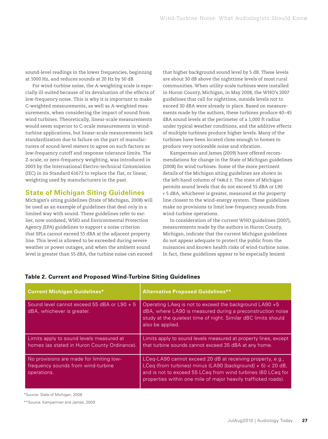sound-level readings in the lower frequencies, beginning at 1000 Hz, and reduces sounds at 20 Hz by 50 dB.

For wind-turbine noise, the A-weighting scale is especially ill-suited because of its devaluation of the effects of low-frequency noise. This is why it is important to make C-weighted measurements, as well as A-weighted measurements, when considering the impact of sound from wind turbines. Theoretically, linear-scale measurements would seem superior to C-scale measurements in windturbine applications, but linear-scale measurements lack standardization due to failure on the part of manufacturers of sound-level meters to agree on such factors as low-frequency cutoff and response tolerance limits. The Z-scale, or zero-frequency weighting, was introduced in 2003 by the International Electro-technical Commission (IEC) in its Standard 61672 to replace the flat, or linear, weighting used by manufacturers in the past.

#### **State of Michigan Siting Guidelines**

Michigan's siting guidelines (State of Michigan, 2008) will be used as an example of guidelines that deal only in a limited way with sound. These guidelines refer to earlier, now outdated, WHO and Environmental Protection Agency (EPA) guidelines to support a noise criterion that SPLs cannot exceed 55 dBA at the adjacent property line. This level is allowed to be exceeded during severe weather or power outages, and when the ambient sound level is greater than 55 dBA, the turbine noise can exceed that higher background sound level by 5 dB. These levels are about 30 dB above the nighttime levels of most rural communities. When utility-scale turbines were installed in Huron County, Michigan, in May 2008, the WHO's 2007 guidelines that call for nighttime, outside levels not to exceed 30 dBA were already in place. Based on measurements made by the authors, these turbines produce 40–45 dBA sound levels at the perimeter of a 1,000 ft radius under typical weather conditions, and the additive effects of multiple turbines produce higher levels. Many of the turbines have been located close enough to homes to produce very noticeable noise and vibration.

Kamperman and James (2009) have offered recommendations for change in the State of Michigan guidelines (2008) for wind turbines. Some of the more pertinent details of the Michigan siting guidelines are shown in the left-hand column of Table 2. The state of Michigan permits sound levels that do not exceed 55 dBA or L90 + 5 dBA, whichever is greater, measured at the property line closest to the wind-energy system. These guidelines make no provisions to limit low-frequency sounds from wind-turbine operations.

In consideration of the current WHO guidelines (2007), measurements made by the authors in Huron County, Michigan, indicate that the current Michigan guidelines do not appear adequate to protect the public from the nuisances and known health risks of wind-turbine noise. In fact, these guidelines appear to be especially lenient

| <b>Current Michigan Guidelines*</b>                                                           | <b>Alternative Proposed Guidelines**</b>                                                                                                                                                                                                                       |
|-----------------------------------------------------------------------------------------------|----------------------------------------------------------------------------------------------------------------------------------------------------------------------------------------------------------------------------------------------------------------|
| Sound level cannot exceed 55 dBA or L90 + 5<br>dBA, whichever is greater.                     | Operating LAeq is not to exceed the background LA90 +5<br>dBA, where LA90 is measured during a preconstruction noise<br>study at the quietest time of night. Similar dBC limits should<br>also be applied.                                                     |
| Limits apply to sound levels measured at<br>homes (as stated in Huron County Ordinance).      | Limits apply to sound levels measured at property lines, except<br>that turbine sounds cannot exceed 35 dBA at any home.                                                                                                                                       |
| No provisions are made for limiting low-<br>frequency sounds from wind-turbine<br>operations. | LCeg-LA90 cannot exceed 20 dB at receiving property, e.g.,<br>LCeq (from turbines) minus (LA90 [background] $+ 5$ ) < 20 dB,<br>and is not to exceed 55 LCeq from wind turbines (60 LCeq for<br>properties within one mile of major heavily trafficked roads). |

#### **Table 2. Current and Proposed Wind-Turbine Siting Guidelines**

\*Source: State of Michigan, 2008

\*\*Source: Kamperman and James, 2009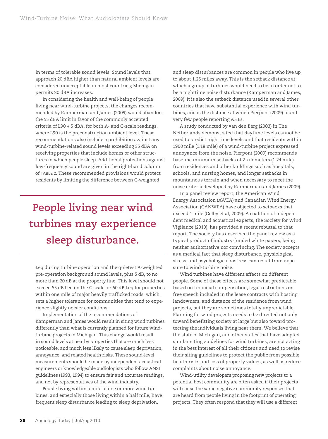in terms of tolerable sound levels. Sound levels that approach 20 dBA higher than natural ambient levels are considered unacceptable in most countries; Michigan permits 30 dBA increases.

In considering the health and well-being of people living near wind-turbine projects, the changes recommended by Kamperman and James (2009) would abandon the 55 dBA limit in favor of the commonly accepted criteria of L90 + 5 dBA, for both A- and C-scale readings, where L90 is the preconstruction ambient level. These recommendations also include a prohibition against any wind-turbine-related sound levels exceeding 35 dBA on receiving properties that include homes or other structures in which people sleep. Additional protections against low-frequency sound are given in the right-hand column of Table 2. These recommended provisions would protect residents by limiting the difference between C-weighted

## **People living near wind turbines may experience sleep disturbance.**

Leq during turbine operation and the quietest A-weighted pre-operation background sound levels, plus 5 dB, to no more than 20 dB at the property line. This level should not exceed 55 dB Leq on the C scale, or 60 dB Leq for properties within one mile of major heavily trafficked roads, which sets a higher tolerance for communities that tend to experience slightly noisier conditions.

Implementation of the recommendations of Kamperman and James would result in siting wind turbines differently than what is currently planned for future windturbine projects in Michigan. This change would result in sound levels at nearby properties that are much less noticeable, and much less likely to cause sleep deprivation, annoyance, and related health risks. These sound-level measurements should be made by independent acoustical engineers or knowledgeable audiologists who follow ANSI guidelines (1993, 1994) to ensure fair and accurate readings, and not by representatives of the wind industry.

People living within a mile of one or more wind turbines, and especially those living within a half mile, have frequent sleep disturbance leading to sleep deprivation,

and sleep disturbances are common in people who live up to about 1.25 miles away. This is the setback distance at which a group of turbines would need to be in order not to be a nighttime noise disturbance (Kamperman and James, 2009). It is also the setback distance used in several other countries that have substantial experience with wind turbines, and is the distance at which Pierpont (2009) found very few people reporting AHEs.

A study conducted by van den Berg (2003) in The Netherlands demonstrated that daytime levels cannot be used to predict nighttime levels and that residents within 1900 mile (1.18 mile) of a wind-turbine project expressed annoyance from the noise. Pierpont (2009) recommends baseline minimum setbacks of 2 kilometers (1.24 mile) from residences and other buildings such as hospitals, schools, and nursing homes, and longer setbacks in mountainous terrain and when necessary to meet the noise criteria developed by Kamperman and James (2009).

In a panel review report, the American Wind Energy Association (AWEA) and Canadian Wind Energy Association (CANWEA) have objected to setbacks that exceed 1 mile (Colby et al, 2009). A coalition of independent medical and acoustical experts, the Society for Wind Vigilance (2010), has provided a recent rebuttal to that report. The society has described the panel review as a typical product of industry-funded white papers, being neither authoritative nor convincing. The society accepts as a medical fact that sleep disturbance, physiological stress, and psychological distress can result from exposure to wind-turbine noise.

Wind turbines have different effects on different people. Some of these effects are somewhat predictable based on financial compensation, legal restrictions on free speech included in the lease contracts with hosting landowners, and distance of the residence from wind projects, but they are sometimes totally unpredictable. Planning for wind projects needs to be directed not only toward benefitting society at large but also toward protecting the individuals living near them. We believe that the state of Michigan, and other states that have adopted similar siting guidelines for wind turbines, are not acting in the best interest of all their citizens and need to revise their siting guidelines to protect the public from possible health risks and loss of property values, as well as reduce complaints about noise annoyance.

Wind-utility developers proposing new projects to a potential host community are often asked if their projects will cause the same negative community responses that are heard from people living in the footprint of operating projects. They often respond that they will use a different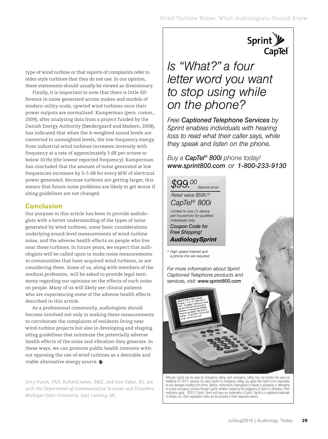type of wind turbine or that reports of complaints refer to older-style turbines that they do not use. In our opinion, these statements should usually be viewed as diversionary.

Finally, it is important to note that there is little difference in noise generated across makes and models of modern utility-scale, upwind wind turbines once their power outputs are normalized. Kamperman (pers. comm., 2009), after analyzing data from a project funded by the Danish Energy Authority (Søndergaard and Madsen, 2008), has indicated that when the A-weighted sound levels are converted to unweighted levels, the low-frequency energy from industrial wind turbines increases inversely with frequency at a rate of approximately 3 dB per octave to below 10 Hz (the lowest reported frequency). Kamperman has concluded that the amount of noise generated at low frequencies increases by 3–5 dB for every MW of electrical power generated. Because turbines are getting larger, this means that future noise problems are likely to get worse if siting guidelines are not changed.

#### **Conclusion**

Our purpose in this article has been to provide audiologists with a better understanding of the types of noise generated by wind turbines, some basic considerations underlying sound-level measurements of wind-turbine noise, and the adverse health effects on people who live near these turbines. In future years, we expect that audiologists will be called upon to make noise measurements in communities that have acquired wind turbines, or are considering them. Some of us, along with members of the medical profession, will be asked to provide legal testimony regarding our opinions on the effects of such noise on people. Many of us will likely see clinical patients who are experiencing some of the adverse health effects described in this article.

As a professional community, audiologists should become involved not only in making these measurements to corroborate the complaints of residents living near wind-turbine projects but also in developing and shaping siting guidelines that minimize the potentially adverse health effects of the noise and vibration they generate. In these ways, we can promote public health interests without opposing the use of wind turbines as a desirable and viable alternative energy source.

*Jerry Punch, PhD, Richard James, BME, and Dan Pabst, BS, are with the Department of Communicative Sciences and Disorders, Michigan State University, East Lansing, MI.*



### *Is "What?" a four letter word you want to stop using while on the phone?*

*Free Captioned Telephone Services by Sprint enables individuals with hearing loss to read what their caller says, while they speak and listen on the phone.*

*Buy a CapTel® 800i phone today! www.sprint800.com or 1-800-233-9130*



Although CapTel can be used for emergency calling, such emergency calling may not function the same as<br>traditional 911/E911 services. By using CapTel for emergency calling, you agree that Sprint is not responsible<br>for any to access emergency services through CapTel; whether caused by the negligence of Sprint or otherwise. Other<br>restrictions apply. ©2010 Sprint. Sprint and logos are trademarks of Sprint. CapTel is a registered trademark<br>of U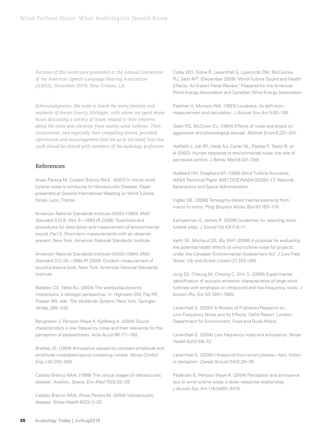*Portions of this work were presented at the Annual Convention of the American Speech-Language-Hearing Association (ASHA), November 2009, New Orleans, LA.*

*Acknowledgments. We wish to thank the many families and residents of Huron County, Michigan, with whom we spent many hours discussing a variety of issues related to their concerns about the noise and vibration from nearby wind turbines. Their involvement, and especially their compelling stories, provided information and encouragement that led us to the belief that this work should be shared with members of the audiology profession.*

#### **References**

Alves-Pereira M, Castelo Branco NAA. (2007) In-home windturbine noise is conducive to Vibroacoustic Disease. Paper presented at Second International Meeting on Wind-Turbine Noise, Lyon, France.

American National Standards Institute (ANSI) (1993) *ANSI Standard S12.9, Part 3—1993 (R 2008)*. Quantities and procedures for description and measurement of environmental sound, Part 3, Short-term measurements with an observer present. New York: American National Standards Institute.

American National Standards Institute (ANSI) (1994) *ANSI Standard S12.18—1994 (R 2009)*. Outdoor measurement of sound pressure level. New York: American National Standards Institute.

Balaban CD, Yates BJ. (2004) The vestibuloautonomic interactions: a telologic perspective. In: Highstein SM, Fay RR, Popper AN, eds. *The Vestibular System*. New York: Springer-Verlag, 286–342.

Bengtsson J, Persson Waye K, Kjellberg A. (2004) Sound characteristics in low frequency noise and their relevance for the perception of pleasantness. *Acta Acust* 90:171–180.

Bradley JS. (1994) Annoyance caused by constant-amplitude and amplitude-modulated sound containing rumble. *Noise Control Eng J* 42:203–208.

Castelo Branco NAA. (1999) The clinical stages of vibroacoustic disease. *Aviation, Space, Env Med* 70(3):32–39.

Castelo Branco NAA, Alves-Pereira M. (2004) Vibroacoustic disease. *Noise Health* 6(23):3–20.

Colby WD, Dobie R, Leventhall G, Lipscomb DM, McCunney RJ, Seilo MT. (December 2009) "Wind-Turbine Sound and Health Effects: An Expert Panel Review." Prepared for the American Wind Energy Association and Canadian Wind Energy Association.

Fletcher H, Munson WA. (1933) Loudness, its definition, measurement and calculation. *J Acoust Soc Am* 5:82–108.

Geen RG, McCown EJ. (1984) Effects of noise and attack on aggression and physiological arousal. *Motivat Emot* 8:231–241.

Hatfield J, Job RF, Hede AJ, Carter NL, Peploe P, Taylor R, et al (2002). Human response to environmental noise: the role of perceived control. *J Behav Med* 9:341–359.

Hubbard HH, Shepherd KP. (1990) Wind Turbine Acoustics, NASA Technical Paper 3057 DOE/NASA/20320–77, National Aeronautics and Space Administration.

Ingber DE. (2008) Tensegrity-based mechanosensing from macro to micro. *Prog Biophys Molec Biol* 97:163–179.

Kamperman G, James R. (2009) Guidelines for selecting windturbine sites. *J Sound Vib* 43(7):8–11.

Keith SE, Michaud DS, Bly SHP. (2008) A proposal for evaluating the potential health effects of wind-turbine noise for projects under the Canadian Environmental Assessment Act. *J Low Freq Noise, Vib and Active Control* 27:253–265.

Jung SS, Cheung W, Cheong C, Shin S. (2008) Experimental identification of acoustic emission characteristics of large wind turbines with emphasis on infrasound and low-frequency noise. *J Korean Phy Soc* 53:1897–1905.

Leventhall G. (2003) A Review of Published Research on Low Frequency Noise and its Effects. Defra Report. London: Department for Environment, Food and Rural Affairs.

Leventhall G. (2004) Low frequency noise and annoyance. *Noise Health* 6(23):59–72.

Leventhall G. (2006) Infrasound from wind turbines—fact, fiction or deception. *Canad Acoust* 34(2):29–36.

Pedersen E, Persson Waye K. (2004) Perception and annoyance due to wind turbine noise: a dose–response relationship. *J Acoust Soc Am* 116:3460–3470.